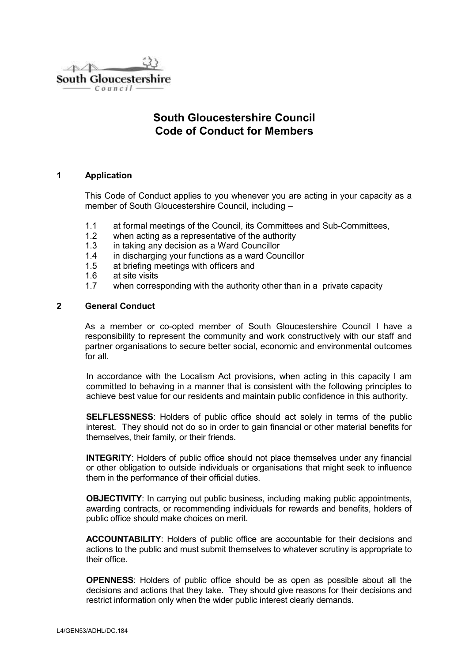$\triangle\triangleright\triangle\triangleright$ South Gloucestershire  $Council$ 

# **South Gloucestershire Council Code of Conduct for Members**

#### **1 Application**

This Code of Conduct applies to you whenever you are acting in your capacity as a member of South Gloucestershire Council, including –

- 1.1 at formal meetings of the Council, its Committees and Sub-Committees,
- 1.2 when acting as a representative of the authority
- 1.3 in taking any decision as a Ward Councillor
- 1.4 in discharging your functions as a ward Councillor
- 1.5 at briefing meetings with officers and
- 1.6 at site visits
- 1.7 when corresponding with the authority other than in a private capacity

# **2 General Conduct**

As a member or co-opted member of South Gloucestershire Council I have a responsibility to represent the community and work constructively with our staff and partner organisations to secure better social, economic and environmental outcomes for all.

In accordance with the Localism Act provisions, when acting in this capacity I am committed to behaving in a manner that is consistent with the following principles to achieve best value for our residents and maintain public confidence in this authority.

**SELFLESSNESS**: Holders of public office should act solely in terms of the public interest. They should not do so in order to gain financial or other material benefits for themselves, their family, or their friends.

**INTEGRITY**: Holders of public office should not place themselves under any financial or other obligation to outside individuals or organisations that might seek to influence them in the performance of their official duties.

**OBJECTIVITY:** In carrying out public business, including making public appointments, awarding contracts, or recommending individuals for rewards and benefits, holders of public office should make choices on merit.

**ACCOUNTABILITY**: Holders of public office are accountable for their decisions and actions to the public and must submit themselves to whatever scrutiny is appropriate to their office.

**OPENNESS**: Holders of public office should be as open as possible about all the decisions and actions that they take. They should give reasons for their decisions and restrict information only when the wider public interest clearly demands.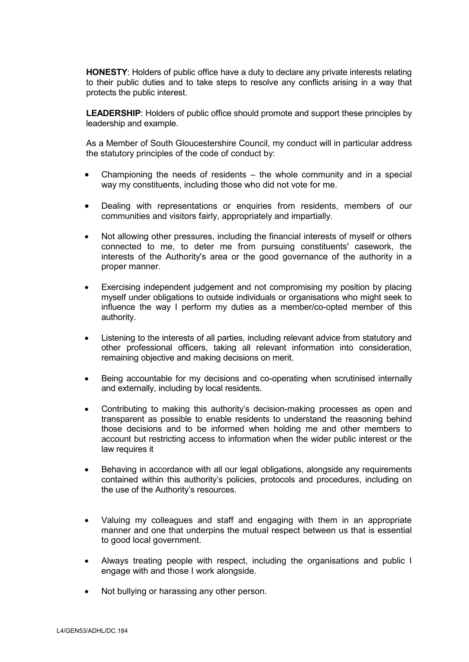**HONESTY**: Holders of public office have a duty to declare any private interests relating to their public duties and to take steps to resolve any conflicts arising in a way that protects the public interest.

**LEADERSHIP**: Holders of public office should promote and support these principles by leadership and example.

As a Member of South Gloucestershire Council*,* my conduct will in particular address the statutory principles of the code of conduct by:

- Championing the needs of residents the whole community and in a special way my constituents, including those who did not vote for me.
- Dealing with representations or enquiries from residents, members of our communities and visitors fairly, appropriately and impartially.
- Not allowing other pressures, including the financial interests of myself or others connected to me, to deter me from pursuing constituents' casework, the interests of the Authority's area or the good governance of the authority in a proper manner.
- Exercising independent judgement and not compromising my position by placing myself under obligations to outside individuals or organisations who might seek to influence the way I perform my duties as a member/co-opted member of this authority.
- Listening to the interests of all parties, including relevant advice from statutory and other professional officers, taking all relevant information into consideration, remaining objective and making decisions on merit.
- Being accountable for my decisions and co-operating when scrutinised internally and externally, including by local residents.
- Contributing to making this authority's decision-making processes as open and transparent as possible to enable residents to understand the reasoning behind those decisions and to be informed when holding me and other members to account but restricting access to information when the wider public interest or the law requires it
- Behaving in accordance with all our legal obligations, alongside any requirements contained within this authority's policies, protocols and procedures, including on the use of the Authority's resources.
- Valuing my colleagues and staff and engaging with them in an appropriate manner and one that underpins the mutual respect between us that is essential to good local government.
- Always treating people with respect, including the organisations and public I engage with and those I work alongside.
- Not bullying or harassing any other person.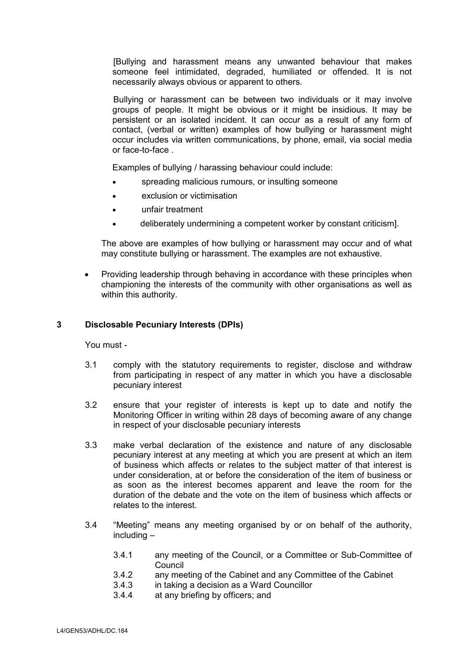[Bullying and harassment means any unwanted behaviour that makes someone feel intimidated, degraded, humiliated or offended. It is not necessarily always obvious or apparent to others.

Bullying or harassment can be between two individuals or it may involve groups of people. It might be obvious or it might be insidious. It may be persistent or an isolated incident. It can occur as a result of any form of contact, (verbal or written) examples of how bullying or harassment might occur includes via written communications, by phone, email, via social media or face-to-face .

Examples of bullying / harassing behaviour could include:

- spreading malicious rumours, or insulting someone
- exclusion or victimisation
- unfair treatment
- deliberately undermining a competent worker by constant criticism].

The above are examples of how bullying or harassment may occur and of what may constitute bullying or harassment. The examples are not exhaustive.

 Providing leadership through behaving in accordance with these principles when championing the interests of the community with other organisations as well as within this authority.

#### **3 Disclosable Pecuniary Interests (DPIs)**

You must -

- 3.1 comply with the statutory requirements to register, disclose and withdraw from participating in respect of any matter in which you have a disclosable pecuniary interest
- 3.2 ensure that your register of interests is kept up to date and notify the Monitoring Officer in writing within 28 days of becoming aware of any change in respect of your disclosable pecuniary interests
- 3.3 make verbal declaration of the existence and nature of any disclosable pecuniary interest at any meeting at which you are present at which an item of business which affects or relates to the subject matter of that interest is under consideration, at or before the consideration of the item of business or as soon as the interest becomes apparent and leave the room for the duration of the debate and the vote on the item of business which affects or relates to the interest.
- 3.4 "Meeting" means any meeting organised by or on behalf of the authority, including –
	- 3.4.1 any meeting of the Council, or a Committee or Sub-Committee of **Council**
	- 3.4.2 any meeting of the Cabinet and any Committee of the Cabinet
	- 3.4.3 in taking a decision as a Ward Councillor
	- 3.4.4 at any briefing by officers; and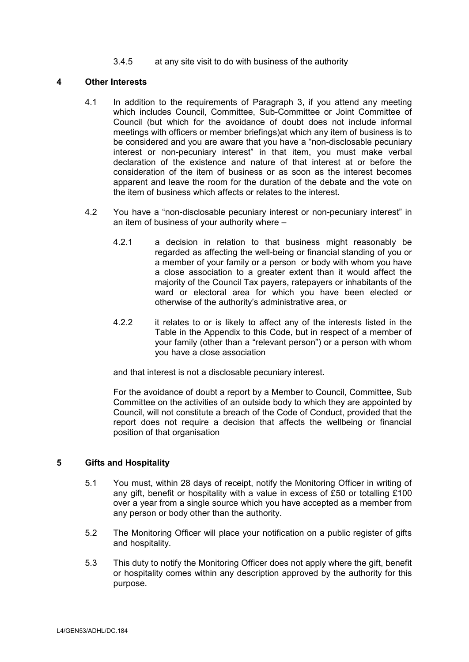3.4.5 at any site visit to do with business of the authority

# **4 Other Interests**

- 4.1 In addition to the requirements of Paragraph 3, if you attend any meeting which includes Council, Committee, Sub-Committee or Joint Committee of Council (but which for the avoidance of doubt does not include informal meetings with officers or member briefings)at which any item of business is to be considered and you are aware that you have a "non-disclosable pecuniary interest or non-pecuniary interest" in that item, you must make verbal declaration of the existence and nature of that interest at or before the consideration of the item of business or as soon as the interest becomes apparent and leave the room for the duration of the debate and the vote on the item of business which affects or relates to the interest.
- 4.2 You have a "non-disclosable pecuniary interest or non-pecuniary interest" in an item of business of your authority where –
	- 4.2.1 a decision in relation to that business might reasonably be regarded as affecting the well-being or financial standing of you or a member of your family or a person or body with whom you have a close association to a greater extent than it would affect the majority of the Council Tax payers, ratepayers or inhabitants of the ward or electoral area for which you have been elected or otherwise of the authority's administrative area, or
	- 4.2.2 it relates to or is likely to affect any of the interests listed in the Table in the Appendix to this Code, but in respect of a member of your family (other than a "relevant person") or a person with whom you have a close association

and that interest is not a disclosable pecuniary interest.

For the avoidance of doubt a report by a Member to Council, Committee, Sub Committee on the activities of an outside body to which they are appointed by Council, will not constitute a breach of the Code of Conduct, provided that the report does not require a decision that affects the wellbeing or financial position of that organisation

# **5 Gifts and Hospitality**

- 5.1 You must, within 28 days of receipt, notify the Monitoring Officer in writing of any gift, benefit or hospitality with a value in excess of £50 or totalling £100 over a year from a single source which you have accepted as a member from any person or body other than the authority.
- 5.2 The Monitoring Officer will place your notification on a public register of gifts and hospitality.
- 5.3 This duty to notify the Monitoring Officer does not apply where the gift, benefit or hospitality comes within any description approved by the authority for this purpose.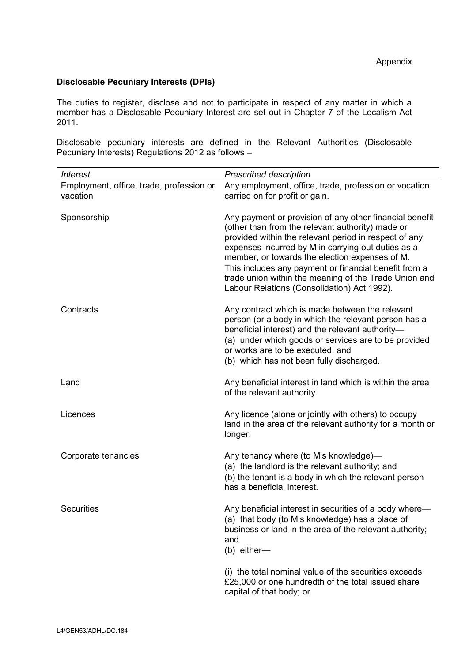# **Disclosable Pecuniary Interests (DPIs)**

The duties to register, disclose and not to participate in respect of any matter in which a member has a Disclosable Pecuniary Interest are set out in Chapter 7 of the Localism Act 2011.

Disclosable pecuniary interests are defined in the Relevant Authorities (Disclosable Pecuniary Interests) Regulations 2012 as follows –

| <b>Interest</b>                                      | <b>Prescribed description</b>                                                                                                                                                                                                                                                                                                                                                                                                                 |
|------------------------------------------------------|-----------------------------------------------------------------------------------------------------------------------------------------------------------------------------------------------------------------------------------------------------------------------------------------------------------------------------------------------------------------------------------------------------------------------------------------------|
| Employment, office, trade, profession or<br>vacation | Any employment, office, trade, profession or vocation<br>carried on for profit or gain.                                                                                                                                                                                                                                                                                                                                                       |
| Sponsorship                                          | Any payment or provision of any other financial benefit<br>(other than from the relevant authority) made or<br>provided within the relevant period in respect of any<br>expenses incurred by M in carrying out duties as a<br>member, or towards the election expenses of M.<br>This includes any payment or financial benefit from a<br>trade union within the meaning of the Trade Union and<br>Labour Relations (Consolidation) Act 1992). |
| Contracts                                            | Any contract which is made between the relevant<br>person (or a body in which the relevant person has a<br>beneficial interest) and the relevant authority-<br>(a) under which goods or services are to be provided<br>or works are to be executed; and<br>(b) which has not been fully discharged.                                                                                                                                           |
| Land                                                 | Any beneficial interest in land which is within the area<br>of the relevant authority.                                                                                                                                                                                                                                                                                                                                                        |
| Licences                                             | Any licence (alone or jointly with others) to occupy<br>land in the area of the relevant authority for a month or<br>longer.                                                                                                                                                                                                                                                                                                                  |
| Corporate tenancies                                  | Any tenancy where (to M's knowledge)-<br>(a) the landlord is the relevant authority; and<br>(b) the tenant is a body in which the relevant person<br>has a beneficial interest.                                                                                                                                                                                                                                                               |
| <b>Securities</b>                                    | Any beneficial interest in securities of a body where-<br>(a) that body (to M's knowledge) has a place of<br>business or land in the area of the relevant authority;<br>and<br>(b) either-                                                                                                                                                                                                                                                    |
|                                                      | (i) the total nominal value of the securities exceeds<br>£25,000 or one hundredth of the total issued share<br>capital of that body; or                                                                                                                                                                                                                                                                                                       |